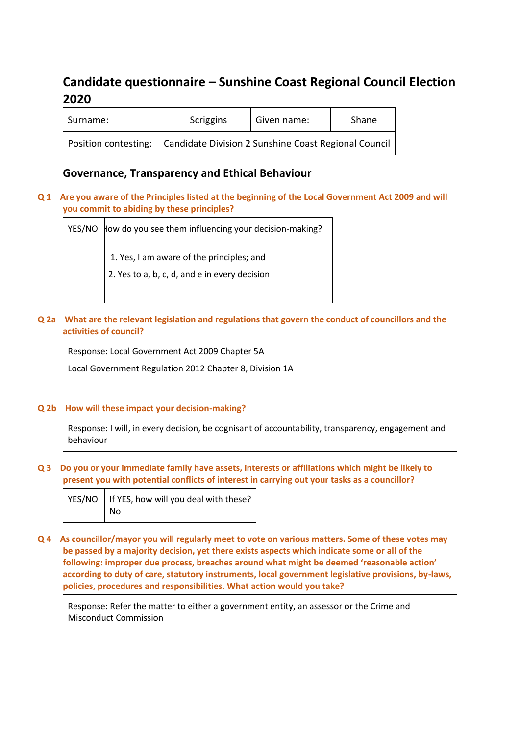# **Candidate questionnaire – Sunshine Coast Regional Council Election 2020**

| Surname: | Scriggins                                                                   | Given name: | Shane |
|----------|-----------------------------------------------------------------------------|-------------|-------|
|          | Position contesting:   Candidate Division 2 Sunshine Coast Regional Council |             |       |

# **Governance, Transparency and Ethical Behaviour**

**Q 1 Are you aware of the Principles listed at the beginning of the Local Government Act 2009 and will you commit to abiding by these principles?**

YES/NO How do you see them influencing your decision-making? 1. Yes, I am aware of the principles; and 2. Yes to a, b, c, d, and e in every decision

**Q 2a What are the relevant legislation and regulations that govern the conduct of councillors and the activities of council?**

Response: Local Government Act 2009 Chapter 5A

Local Government Regulation 2012 Chapter 8, Division 1A

**Q 2b How will these impact your decision-making?**

Response: I will, in every decision, be cognisant of accountability, transparency, engagement and behaviour

**Q 3 Do you or your immediate family have assets, interests or affiliations which might be likely to present you with potential conflicts of interest in carrying out your tasks as a councillor?**

| YES/NO   If YES, how will you deal with these? |
|------------------------------------------------|
| $\vert$ No                                     |

**Q 4 As councillor/mayor you will regularly meet to vote on various matters. Some of these votes may be passed by a majority decision, yet there exists aspects which indicate some or all of the following: improper due process, breaches around what might be deemed 'reasonable action' according to duty of care, statutory instruments, local government legislative provisions, by-laws, policies, procedures and responsibilities. What action would you take?**

Response: Refer the matter to either a government entity, an assessor or the Crime and Misconduct Commission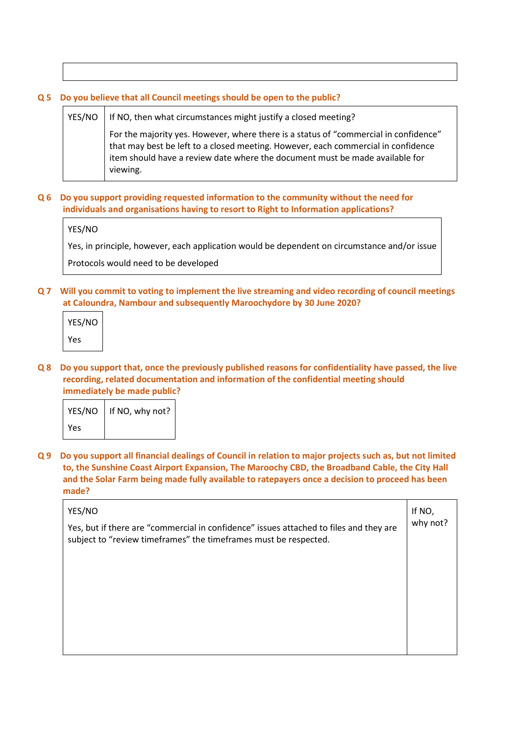#### **Q 5 Do you believe that all Council meetings should be open to the public?**

# $YES/NO$  | If NO, then what circumstances might justify a closed meeting? For the majority yes. However, where there is a status of "commercial in confidence" that may best be left to a closed meeting. However, each commercial in confidence item should have a review date where the document must be made available for viewing.

### **Q 6 Do you support providing requested information to the community without the need for individuals and organisations having to resort to Right to Information applications?**

YES/NO

Yes, in principle, however, each application would be dependent on circumstance and/or issue

Protocols would need to be developed

**Q 7 Will you commit to voting to implement the live streaming and video recording of council meetings at Caloundra, Nambour and subsequently Maroochydore by 30 June 2020?**

| YES/NO |  |
|--------|--|
| Yes    |  |

**Q 8 Do you support that, once the previously published reasons for confidentiality have passed, the live recording, related documentation and information of the confidential meeting should immediately be made public?**

|     | YES/NO   If NO, why not? |
|-----|--------------------------|
| Yes |                          |

**Q 9 Do you support all financial dealings of Council in relation to major projects such as, but not limited to, the Sunshine Coast Airport Expansion, The Maroochy CBD, the Broadband Cable, the City Hall and the Solar Farm being made fully available to ratepayers once a decision to proceed has been made?**

| YES/NO                                                                                                                                                     | If NO,   |
|------------------------------------------------------------------------------------------------------------------------------------------------------------|----------|
| Yes, but if there are "commercial in confidence" issues attached to files and they are<br>subject to "review timeframes" the timeframes must be respected. | why not? |
|                                                                                                                                                            |          |
|                                                                                                                                                            |          |
|                                                                                                                                                            |          |
|                                                                                                                                                            |          |
|                                                                                                                                                            |          |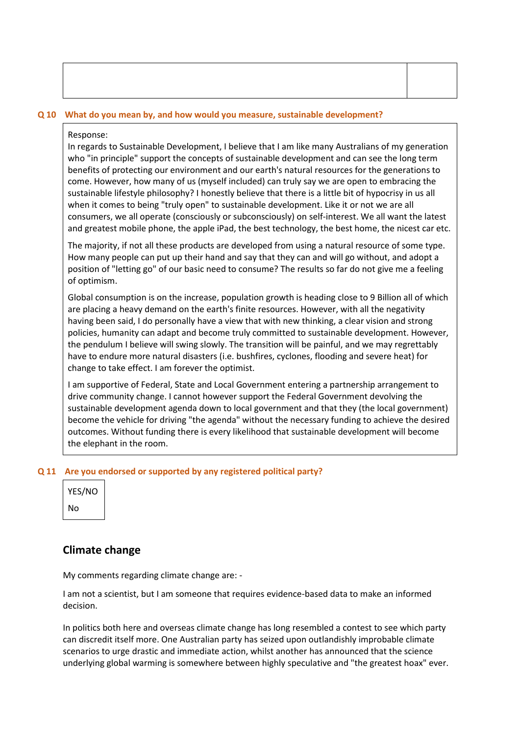|  |  |  |  | Q 10 What do you mean by, and how would you measure, sustainable development? |
|--|--|--|--|-------------------------------------------------------------------------------|
|--|--|--|--|-------------------------------------------------------------------------------|

#### Response:

In regards to Sustainable Development, I believe that I am like many Australians of my generation who "in principle" support the concepts of sustainable development and can see the long term benefits of protecting our environment and our earth's natural resources for the generations to come. However, how many of us (myself included) can truly say we are open to embracing the sustainable lifestyle philosophy? I honestly believe that there is a little bit of hypocrisy in us all when it comes to being "truly open" to sustainable development. Like it or not we are all consumers, we all operate (consciously or subconsciously) on self-interest. We all want the latest and greatest mobile phone, the apple iPad, the best technology, the best home, the nicest car etc.

The majority, if not all these products are developed from using a natural resource of some type. How many people can put up their hand and say that they can and will go without, and adopt a position of "letting go" of our basic need to consume? The results so far do not give me a feeling of optimism.

Global consumption is on the increase, population growth is heading close to 9 Billion all of which are placing a heavy demand on the earth's finite resources. However, with all the negativity having been said, I do personally have a view that with new thinking, a clear vision and strong policies, humanity can adapt and become truly committed to sustainable development. However, the pendulum I believe will swing slowly. The transition will be painful, and we may regrettably have to endure more natural disasters (i.e. bushfires, cyclones, flooding and severe heat) for change to take effect. I am forever the optimist.

I am supportive of Federal, State and Local Government entering a partnership arrangement to drive community change. I cannot however support the Federal Government devolving the sustainable development agenda down to local government and that they (the local government) become the vehicle for driving "the agenda" without the necessary funding to achieve the desired outcomes. Without funding there is every likelihood that sustainable development will become the elephant in the room.

#### **Q 11 Are you endorsed or supported by any registered political party?**

| YES/NO |  |
|--------|--|
| N٥     |  |

# **Climate change**

My comments regarding climate change are: -

I am not a scientist, but I am someone that requires evidence-based data to make an informed decision.

In politics both here and overseas climate change has long resembled a contest to see which party can discredit itself more. One Australian party has seized upon outlandishly improbable climate scenarios to urge drastic and immediate action, whilst another has announced that the science underlying global warming is somewhere between highly speculative and "the greatest hoax" ever.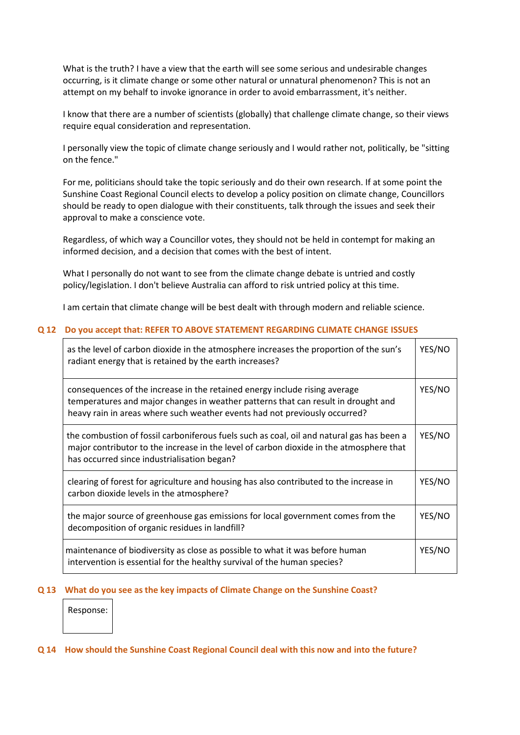What is the truth? I have a view that the earth will see some serious and undesirable changes occurring, is it climate change or some other natural or unnatural phenomenon? This is not an attempt on my behalf to invoke ignorance in order to avoid embarrassment, it's neither.

I know that there are a number of scientists (globally) that challenge climate change, so their views require equal consideration and representation.

I personally view the topic of climate change seriously and I would rather not, politically, be "sitting on the fence."

For me, politicians should take the topic seriously and do their own research. If at some point the Sunshine Coast Regional Council elects to develop a policy position on climate change, Councillors should be ready to open dialogue with their constituents, talk through the issues and seek their approval to make a conscience vote.

Regardless, of which way a Councillor votes, they should not be held in contempt for making an informed decision, and a decision that comes with the best of intent.

What I personally do not want to see from the climate change debate is untried and costly policy/legislation. I don't believe Australia can afford to risk untried policy at this time.

I am certain that climate change will be best dealt with through modern and reliable science.

#### **Q 12 Do you accept that: REFER TO ABOVE STATEMENT REGARDING CLIMATE CHANGE ISSUES**

| as the level of carbon dioxide in the atmosphere increases the proportion of the sun's<br>radiant energy that is retained by the earth increases?                                                                                             | YES/NO |
|-----------------------------------------------------------------------------------------------------------------------------------------------------------------------------------------------------------------------------------------------|--------|
| consequences of the increase in the retained energy include rising average<br>temperatures and major changes in weather patterns that can result in drought and<br>heavy rain in areas where such weather events had not previously occurred? | YES/NO |
| the combustion of fossil carboniferous fuels such as coal, oil and natural gas has been a<br>major contributor to the increase in the level of carbon dioxide in the atmosphere that<br>has occurred since industrialisation began?           | YES/NO |
| clearing of forest for agriculture and housing has also contributed to the increase in<br>carbon dioxide levels in the atmosphere?                                                                                                            | YES/NO |
| the major source of greenhouse gas emissions for local government comes from the<br>decomposition of organic residues in landfill?                                                                                                            | YES/NO |
| maintenance of biodiversity as close as possible to what it was before human<br>intervention is essential for the healthy survival of the human species?                                                                                      | YES/NO |

#### **Q 13 What do you see as the key impacts of Climate Change on the Sunshine Coast?**

Response:

#### **Q 14 How should the Sunshine Coast Regional Council deal with this now and into the future?**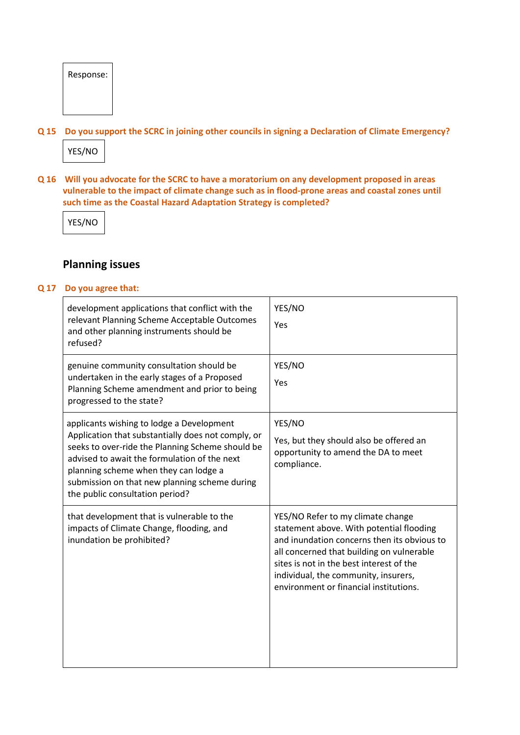| Response: |
|-----------|
|           |
|           |

**Q 15 Do you support the SCRC in joining other councils in signing a Declaration of Climate Emergency?**



**Q 16 Will you advocate for the SCRC to have a moratorium on any development proposed in areas vulnerable to the impact of climate change such as in flood-prone areas and coastal zones until such time as the Coastal Hazard Adaptation Strategy is completed?**

YES/NO

# **Planning issues**

#### **Q 17 Do you agree that:**

| development applications that conflict with the<br>relevant Planning Scheme Acceptable Outcomes<br>and other planning instruments should be<br>refused?                                                                                                                                                                          | YES/NO<br>Yes                                                                                                                                                                                                                                                                                           |
|----------------------------------------------------------------------------------------------------------------------------------------------------------------------------------------------------------------------------------------------------------------------------------------------------------------------------------|---------------------------------------------------------------------------------------------------------------------------------------------------------------------------------------------------------------------------------------------------------------------------------------------------------|
| genuine community consultation should be<br>undertaken in the early stages of a Proposed<br>Planning Scheme amendment and prior to being<br>progressed to the state?                                                                                                                                                             | YES/NO<br>Yes                                                                                                                                                                                                                                                                                           |
| applicants wishing to lodge a Development<br>Application that substantially does not comply, or<br>seeks to over-ride the Planning Scheme should be<br>advised to await the formulation of the next<br>planning scheme when they can lodge a<br>submission on that new planning scheme during<br>the public consultation period? | YES/NO<br>Yes, but they should also be offered an<br>opportunity to amend the DA to meet<br>compliance.                                                                                                                                                                                                 |
| that development that is vulnerable to the<br>impacts of Climate Change, flooding, and<br>inundation be prohibited?                                                                                                                                                                                                              | YES/NO Refer to my climate change<br>statement above. With potential flooding<br>and inundation concerns then its obvious to<br>all concerned that building on vulnerable<br>sites is not in the best interest of the<br>individual, the community, insurers,<br>environment or financial institutions. |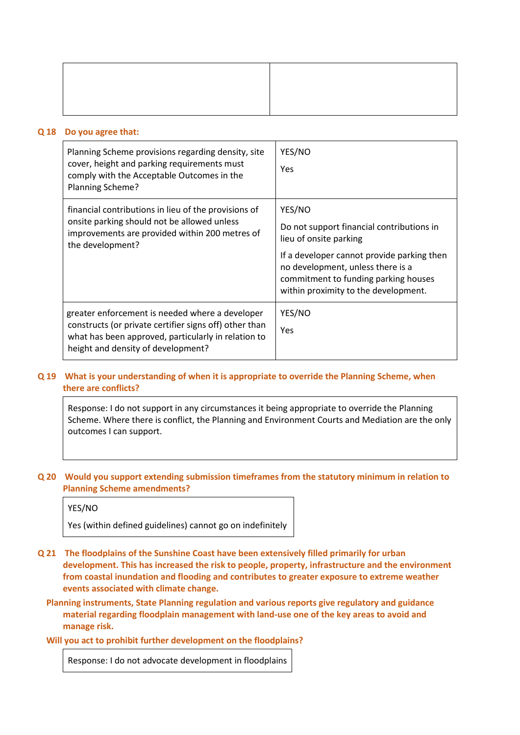#### **Q 18 Do you agree that:**

| Planning Scheme provisions regarding density, site<br>cover, height and parking requirements must<br>comply with the Acceptable Outcomes in the<br>Planning Scheme?                                    | YES/NO<br>Yes                                                                                                                                                                                                                                    |
|--------------------------------------------------------------------------------------------------------------------------------------------------------------------------------------------------------|--------------------------------------------------------------------------------------------------------------------------------------------------------------------------------------------------------------------------------------------------|
| financial contributions in lieu of the provisions of<br>onsite parking should not be allowed unless<br>improvements are provided within 200 metres of<br>the development?                              | YES/NO<br>Do not support financial contributions in<br>lieu of onsite parking<br>If a developer cannot provide parking then<br>no development, unless there is a<br>commitment to funding parking houses<br>within proximity to the development. |
| greater enforcement is needed where a developer<br>constructs (or private certifier signs off) other than<br>what has been approved, particularly in relation to<br>height and density of development? | YES/NO<br>Yes                                                                                                                                                                                                                                    |

### **Q 19 What is your understanding of when it is appropriate to override the Planning Scheme, when there are conflicts?**

Response: I do not support in any circumstances it being appropriate to override the Planning Scheme. Where there is conflict, the Planning and Environment Courts and Mediation are the only outcomes I can support.

#### **Q 20 Would you support extending submission timeframes from the statutory minimum in relation to Planning Scheme amendments?**

#### YES/NO

Yes (within defined guidelines) cannot go on indefinitely

- **Q 21 The floodplains of the Sunshine Coast have been extensively filled primarily for urban development. This has increased the risk to people, property, infrastructure and the environment from coastal inundation and flooding and contributes to greater exposure to extreme weather events associated with climate change.**
	- **Planning instruments, State Planning regulation and various reports give regulatory and guidance material regarding floodplain management with land-use one of the key areas to avoid and manage risk.**

#### **Will you act to prohibit further development on the floodplains?**

Response: I do not advocate development in floodplains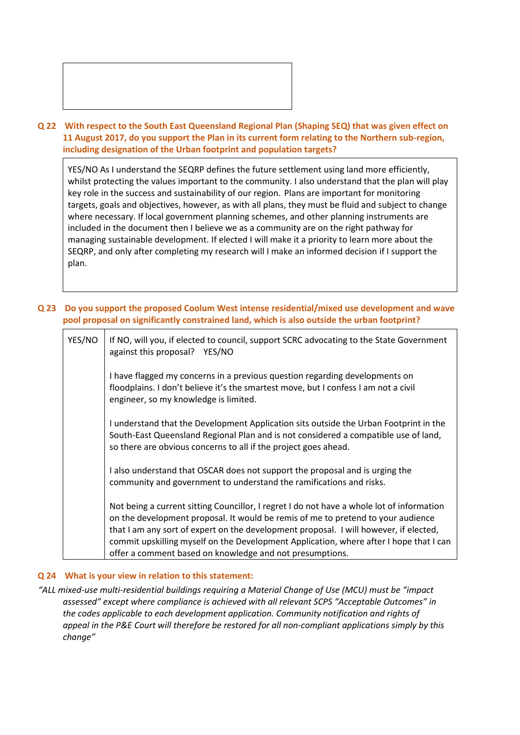

# **Q 22 With respect to the South East Queensland Regional Plan (Shaping SEQ) that was given effect on 11 August 2017, do you support the Plan in its current form relating to the Northern sub-region, including designation of the Urban footprint and population targets?**

YES/NO As I understand the SEQRP defines the future settlement using land more efficiently, whilst protecting the values important to the community. I also understand that the plan will play key role in the success and sustainability of our region. Plans are important for monitoring targets, goals and objectives, however, as with all plans, they must be fluid and subject to change where necessary. If local government planning schemes, and other planning instruments are included in the document then I believe we as a community are on the right pathway for managing sustainable development. If elected I will make it a priority to learn more about the SEQRP, and only after completing my research will I make an informed decision if I support the plan.

**Q 23 Do you support the proposed Coolum West intense residential/mixed use development and wave pool proposal on significantly constrained land, which is also outside the urban footprint?**

| YES/NO | If NO, will you, if elected to council, support SCRC advocating to the State Government<br>against this proposal? YES/NO                                                                                                                                                                                                                                                                                                     |
|--------|------------------------------------------------------------------------------------------------------------------------------------------------------------------------------------------------------------------------------------------------------------------------------------------------------------------------------------------------------------------------------------------------------------------------------|
|        | I have flagged my concerns in a previous question regarding developments on<br>floodplains. I don't believe it's the smartest move, but I confess I am not a civil<br>engineer, so my knowledge is limited.                                                                                                                                                                                                                  |
|        | I understand that the Development Application sits outside the Urban Footprint in the<br>South-East Queensland Regional Plan and is not considered a compatible use of land,<br>so there are obvious concerns to all if the project goes ahead.                                                                                                                                                                              |
|        | I also understand that OSCAR does not support the proposal and is urging the<br>community and government to understand the ramifications and risks.                                                                                                                                                                                                                                                                          |
|        | Not being a current sitting Councillor, I regret I do not have a whole lot of information<br>on the development proposal. It would be remis of me to pretend to your audience<br>that I am any sort of expert on the development proposal. I will however, if elected,<br>commit upskilling myself on the Development Application, where after I hope that I can<br>offer a comment based on knowledge and not presumptions. |

# **Q 24 What is your view in relation to this statement:**

*"ALL mixed-use multi-residential buildings requiring a Material Change of Use (MCU) must be "impact assessed" except where compliance is achieved with all relevant SCPS "Acceptable Outcomes" in the codes applicable to each development application. Community notification and rights of appeal in the P&E Court will therefore be restored for all non-compliant applications simply by this change"*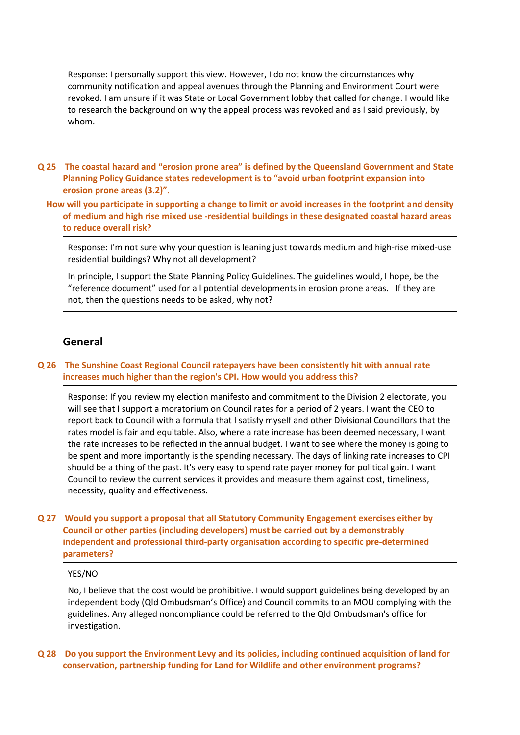Response: I personally support this view. However, I do not know the circumstances why community notification and appeal avenues through the Planning and Environment Court were revoked. I am unsure if it was State or Local Government lobby that called for change. I would like to research the background on why the appeal process was revoked and as I said previously, by whom.

- **Q 25 The coastal hazard and "erosion prone area" is defined by the Queensland Government and State Planning Policy Guidance states redevelopment is to "avoid urban footprint expansion into erosion prone areas (3.2)".**
	- **How will you participate in supporting a change to limit or avoid increases in the footprint and density of medium and high rise mixed use -residential buildings in these designated coastal hazard areas to reduce overall risk?**

Response: I'm not sure why your question is leaning just towards medium and high-rise mixed-use residential buildings? Why not all development?

In principle, I support the State Planning Policy Guidelines. The guidelines would, I hope, be the "reference document" used for all potential developments in erosion prone areas. If they are not, then the questions needs to be asked, why not?

# **General**

#### **Q 26 The Sunshine Coast Regional Council ratepayers have been consistently hit with annual rate increases much higher than the region's CPI. How would you address this?**

Response: If you review my election manifesto and commitment to the Division 2 electorate, you will see that I support a moratorium on Council rates for a period of 2 years. I want the CEO to report back to Council with a formula that I satisfy myself and other Divisional Councillors that the rates model is fair and equitable. Also, where a rate increase has been deemed necessary, I want the rate increases to be reflected in the annual budget. I want to see where the money is going to be spent and more importantly is the spending necessary. The days of linking rate increases to CPI should be a thing of the past. It's very easy to spend rate payer money for political gain. I want Council to review the current services it provides and measure them against cost, timeliness, necessity, quality and effectiveness.

**Q 27 Would you support a proposal that all Statutory Community Engagement exercises either by Council or other parties (including developers) must be carried out by a demonstrably independent and professional third-party organisation according to specific pre-determined parameters?**

#### YES/NO

No, I believe that the cost would be prohibitive. I would support guidelines being developed by an independent body (Qld Ombudsman's Office) and Council commits to an MOU complying with the guidelines. Any alleged noncompliance could be referred to the Qld Ombudsman's office for investigation.

**Q 28 Do you support the Environment Levy and its policies, including continued acquisition of land for conservation, partnership funding for Land for Wildlife and other environment programs?**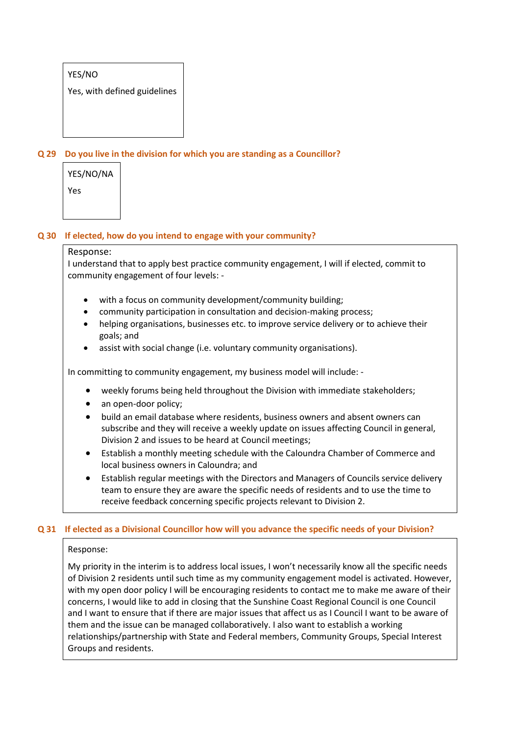# YES/NO

Yes, with defined guidelines

# **Q 29 Do you live in the division for which you are standing as a Councillor?**

| YES/NO/NA |
|-----------|
| Yes       |

#### **Q 30 If elected, how do you intend to engage with your community?**

#### Response:

I understand that to apply best practice community engagement, I will if elected, commit to community engagement of four levels: -

- with a focus on community development/community building;
- community participation in consultation and decision-making process;
- helping organisations, businesses etc. to improve service delivery or to achieve their goals; and
- assist with social change (i.e. voluntary community organisations).

In committing to community engagement, my business model will include: -

- weekly forums being held throughout the Division with immediate stakeholders;
- an open-door policy;
- build an email database where residents, business owners and absent owners can subscribe and they will receive a weekly update on issues affecting Council in general, Division 2 and issues to be heard at Council meetings;
- Establish a monthly meeting schedule with the Caloundra Chamber of Commerce and local business owners in Caloundra; and
- Establish regular meetings with the Directors and Managers of Councils service delivery team to ensure they are aware the specific needs of residents and to use the time to receive feedback concerning specific projects relevant to Division 2.

#### **Q 31 If elected as a Divisional Councillor how will you advance the specific needs of your Division?**

#### Response:

My priority in the interim is to address local issues, I won't necessarily know all the specific needs of Division 2 residents until such time as my community engagement model is activated. However, with my open door policy I will be encouraging residents to contact me to make me aware of their concerns, I would like to add in closing that the Sunshine Coast Regional Council is one Council and I want to ensure that if there are major issues that affect us as I Council I want to be aware of them and the issue can be managed collaboratively. I also want to establish a working relationships/partnership with State and Federal members, Community Groups, Special Interest Groups and residents.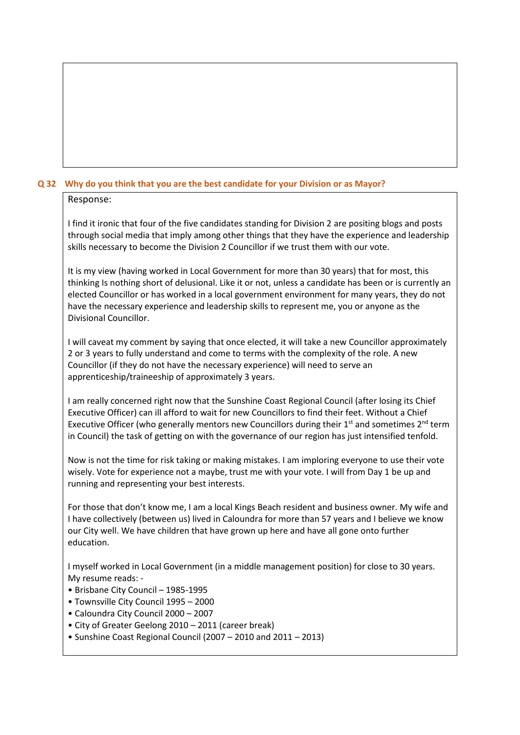# **Q 32 Why do you think that you are the best candidate for your Division or as Mayor?**

### Response:

I find it ironic that four of the five candidates standing for Division 2 are positing blogs and posts through social media that imply among other things that they have the experience and leadership skills necessary to become the Division 2 Councillor if we trust them with our vote.

It is my view (having worked in Local Government for more than 30 years) that for most, this thinking Is nothing short of delusional. Like it or not, unless a candidate has been or is currently an elected Councillor or has worked in a local government environment for many years, they do not have the necessary experience and leadership skills to represent me, you or anyone as the Divisional Councillor.

I will caveat my comment by saying that once elected, it will take a new Councillor approximately 2 or 3 years to fully understand and come to terms with the complexity of the role. A new Councillor (if they do not have the necessary experience) will need to serve an apprenticeship/traineeship of approximately 3 years.

I am really concerned right now that the Sunshine Coast Regional Council (after losing its Chief Executive Officer) can ill afford to wait for new Councillors to find their feet. Without a Chief Executive Officer (who generally mentors new Councillors during their  $1<sup>st</sup>$  and sometimes  $2<sup>nd</sup>$  term in Council) the task of getting on with the governance of our region has just intensified tenfold.

Now is not the time for risk taking or making mistakes. I am imploring everyone to use their vote wisely. Vote for experience not a maybe, trust me with your vote. I will from Day 1 be up and running and representing your best interests.

For those that don't know me, I am a local Kings Beach resident and business owner. My wife and I have collectively (between us) lived in Caloundra for more than 57 years and I believe we know our City well. We have children that have grown up here and have all gone onto further education.

I myself worked in Local Government (in a middle management position) for close to 30 years. My resume reads: -

- Brisbane City Council 1985-1995
- Townsville City Council 1995 2000
- Caloundra City Council 2000 2007
- City of Greater Geelong 2010 2011 (career break)
- Sunshine Coast Regional Council (2007 2010 and 2011 2013)